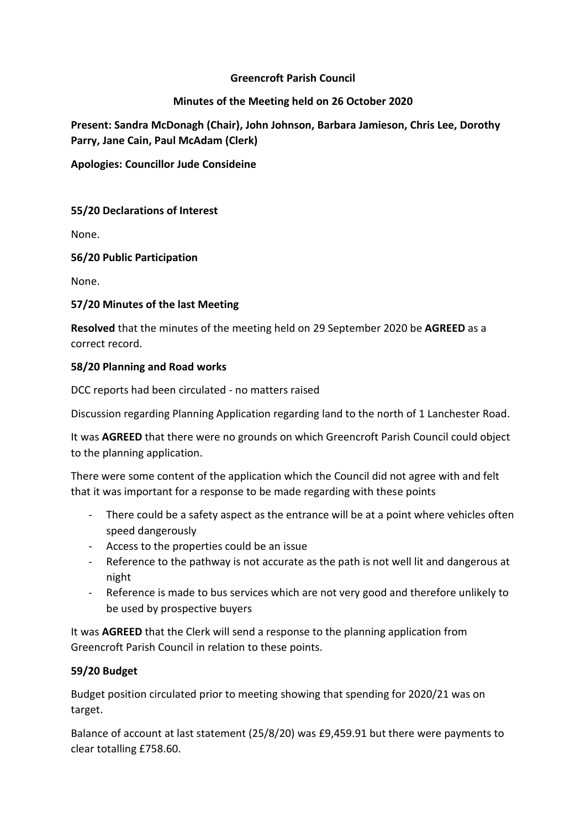## **Greencroft Parish Council**

## **Minutes of the Meeting held on 26 October 2020**

**Present: Sandra McDonagh (Chair), John Johnson, Barbara Jamieson, Chris Lee, Dorothy Parry, Jane Cain, Paul McAdam (Clerk)**

**Apologies: Councillor Jude Consideine**

## **55/20 Declarations of Interest**

None.

## **56/20 Public Participation**

None.

# **57/20 Minutes of the last Meeting**

**Resolved** that the minutes of the meeting held on 29 September 2020 be **AGREED** as a correct record.

### **58/20 Planning and Road works**

DCC reports had been circulated - no matters raised

Discussion regarding Planning Application regarding land to the north of 1 Lanchester Road.

It was **AGREED** that there were no grounds on which Greencroft Parish Council could object to the planning application.

There were some content of the application which the Council did not agree with and felt that it was important for a response to be made regarding with these points

- There could be a safety aspect as the entrance will be at a point where vehicles often speed dangerously
- Access to the properties could be an issue
- Reference to the pathway is not accurate as the path is not well lit and dangerous at night
- Reference is made to bus services which are not very good and therefore unlikely to be used by prospective buyers

It was **AGREED** that the Clerk will send a response to the planning application from Greencroft Parish Council in relation to these points.

# **59/20 Budget**

Budget position circulated prior to meeting showing that spending for 2020/21 was on target.

Balance of account at last statement (25/8/20) was £9,459.91 but there were payments to clear totalling £758.60.